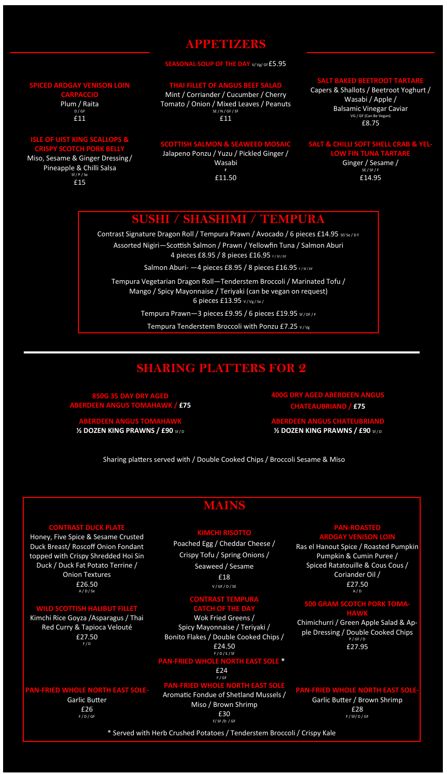### **APPETIZERS**

#### **SEASONAL SOUP OF THE DAY V/** Vg/ Gf £5.95

### **SPICED ARDGAY VENISON LOIN**

**CARPACCIO** Plum / Raita D / GF £11

### **ISLE OF UIST KING SCALLOPS & CRISPY SCOTCH PORK BELLY**

Miso, Sesame & Ginger Dressing / Pineapple & Chilli Salsa Sf / P / Se £15

### **THAI FILLET OF ANGUS BEEF SALAD**

Mint / Corriander / Cucumber / Cherry Tomato / Onion / Mixed Leaves / Peanuts SE / N / GF / SF £11

### **TTISH SALMON & SEAWEED MOSA** Jalapeno Ponzu / Yuzu / Pickled Ginger /

Wasabi **F**  £11.50

# **SALT BAKED BEETROOT TARE**

Capers & Shallots / Beetroot Yoghurt / Wasabi / Apple / Balsamic Vinegar Caviar VG / GF (Can Be Vegan) £8.75

#### **SALT & CHILLI SOFT SHELL CRAB & YEL-LOW FIN TUNA TART**

Ginger / Sesame /  $SF / F$ £14.95

# **SUSHI / SHASHIMI / TEMPURA**

Contrast Signature Dragon Roll / Tempura Prawn / Avocado / 6 pieces £14.95 sf/se/DF Assorted Nigiri—Scottish Salmon / Prawn / Yellowfin Tuna / Salmon Aburi 4 pieces £8.95 / 8 pieces £16.95 F/Sf/DF

Salmon Aburi- - 4 pieces £8.95 / 8 pieces £16.95 F/Sf/DF

Tempura Vegetarian Dragon Roll—Tenderstem Broccoli / Marinated Tofu / Mango / Spicy Mayonnaise / Teriyaki (can be vegan on request) 6 pieces £13.95 V / Vg / Se /

Tempura Prawn-3 pieces £9.95 / 6 pieces £19.95 Sf/DF/F

Tempura Tenderstem Broccoli with Ponzu £7.25 v/vg

# **SHARING PLATTERS FOR 2**

**850G 35 DAY DRY AGED ABERDEEN ANGUS TOMAHAWK / £75**

**RDEEN ANGUS TO** *¥* **DOZEN KING PRAWNS / £90 Sf/D**  **4 DRY AGED ABE CHATEAUBRIAND / £75**

**EN ANGUS CHATEUBRIAND 1⁄2 DOZEN KING PRAWNS / £90 Sf/D** 

Sharing platters served with / Double Cooked Chips / Broccoli Sesame & Miso

# **MAINS**

### **KIMCHI RISOTTO**

Poached Egg / Cheddar Cheese / Crispy Tofu / Spring Onions / Seaweed / Sesame £18 V / GF / D / SE

### **CONTRAST TEMPURA**

**CATCH OF THE DAY** Wok Fried Greens / Spicy Mayonnaise / Teriyak Bonito Flakes / Double Cooked Chips / £24.50 F / D / E / Sf **PAN-FRIED WHOLE NORTH EAST SOLE \***

## £24

F / GF

# **PRIED WHOLE NORTH EAST**

Aromatic Fondue of Shetland Mussels /

Miso / Brown Shrimp

£30 F/ SF /D / GF Spiced Ratatouille & Cous Cous / Coriander Oil /

> £27.50 A / D

**PAN-ROA ARDGAY VENISON LOIN** Ras el Hanout Spice / Roasted Pumpkin Pumpkin & Cumin Puree /

### **500 GRAM SCOTCH PORK TOMA-**

**HAWK** Chimichurri / Green Apple Salad & Apple Dressing / Double Cooked Chips P / GF / D

£27.95

**PAIRD WHOLE NORTH** Garlic Butter / Brown Shrimp £28 F / SF/ D / GF

\* Served with Herb Crushed Potatoes / Tenderstem Broccoli / Crispy Kale

### **CONTRAST DUCK PLATE**

Honey, Five Spice & Sesame Crusted Duck Breast/ Roscoff Onion Fondant topped with Crispy Shredded Hoi Sin Duck / Duck Fat Potato Terrine / Onion Textures £26.50 A / D / Se

# **WILD SCOTTISH HALIBUT FILLET**

Kimchi Rice Goyza /Asparagus / Thai Red Curry & Tapioca Velouté £27.50 F / D

#### **WHOLE NORTH EAST SOLE-**

Garlic Butter £26 F / D / GF